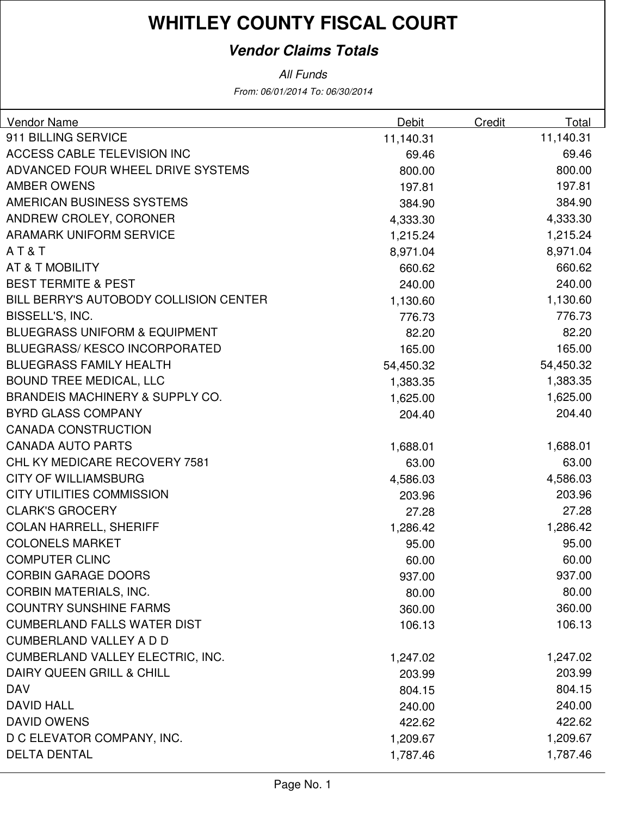### **Vendor Claims Totals**

From: 06/01/2014 To: 06/30/2014 All Funds

| 911 BILLING SERVICE<br>11,140.31<br>11,140.31<br>ACCESS CABLE TELEVISION INC<br>69.46<br>69.46<br>ADVANCED FOUR WHEEL DRIVE SYSTEMS<br>800.00<br>800.00<br><b>AMBER OWENS</b><br>197.81<br>197.81<br>AMERICAN BUSINESS SYSTEMS<br>384.90<br>384.90<br>ANDREW CROLEY, CORONER<br>4,333.30<br>4,333.30<br><b>ARAMARK UNIFORM SERVICE</b><br>1,215.24<br>1,215.24<br>AT&T<br>8,971.04<br>8,971.04<br>AT & T MOBILITY<br>660.62<br>660.62<br><b>BEST TERMITE &amp; PEST</b><br>240.00<br>240.00<br>BILL BERRY'S AUTOBODY COLLISION CENTER<br>1,130.60<br>1,130.60<br>BISSELL'S, INC.<br>776.73<br>776.73<br><b>BLUEGRASS UNIFORM &amp; EQUIPMENT</b><br>82.20<br>82.20<br><b>BLUEGRASS/KESCO INCORPORATED</b><br>165.00<br>165.00<br><b>BLUEGRASS FAMILY HEALTH</b><br>54,450.32<br>54,450.32<br><b>BOUND TREE MEDICAL, LLC</b><br>1,383.35<br>1,383.35<br><b>BRANDEIS MACHINERY &amp; SUPPLY CO.</b><br>1,625.00<br>1,625.00<br><b>BYRD GLASS COMPANY</b><br>204.40<br>204.40<br><b>CANADA CONSTRUCTION</b><br><b>CANADA AUTO PARTS</b><br>1,688.01<br>1,688.01<br>CHL KY MEDICARE RECOVERY 7581<br>63.00<br>63.00<br><b>CITY OF WILLIAMSBURG</b><br>4,586.03<br>4,586.03<br><b>CITY UTILITIES COMMISSION</b><br>203.96<br>203.96<br><b>CLARK'S GROCERY</b><br>27.28<br>27.28<br><b>COLAN HARRELL, SHERIFF</b><br>1,286.42<br>1,286.42<br><b>COLONELS MARKET</b><br>95.00<br>95.00<br><b>COMPUTER CLINC</b><br>60.00<br>60.00<br><b>CORBIN GARAGE DOORS</b><br>937.00<br>937.00<br><b>CORBIN MATERIALS, INC.</b><br>80.00<br>80.00<br><b>COUNTRY SUNSHINE FARMS</b><br>360.00<br>360.00<br><b>CUMBERLAND FALLS WATER DIST</b><br>106.13<br>106.13<br><b>CUMBERLAND VALLEY A D D</b><br><b>CUMBERLAND VALLEY ELECTRIC, INC.</b><br>1,247.02<br>1,247.02<br>DAIRY QUEEN GRILL & CHILL<br>203.99<br>203.99<br><b>DAV</b><br>804.15<br>804.15<br><b>DAVID HALL</b><br>240.00<br>240.00<br><b>DAVID OWENS</b><br>422.62<br>422.62<br>D C ELEVATOR COMPANY, INC.<br>1,209.67<br>1,209.67 | Vendor Name         | <b>Debit</b> | Credit | Total    |
|---------------------------------------------------------------------------------------------------------------------------------------------------------------------------------------------------------------------------------------------------------------------------------------------------------------------------------------------------------------------------------------------------------------------------------------------------------------------------------------------------------------------------------------------------------------------------------------------------------------------------------------------------------------------------------------------------------------------------------------------------------------------------------------------------------------------------------------------------------------------------------------------------------------------------------------------------------------------------------------------------------------------------------------------------------------------------------------------------------------------------------------------------------------------------------------------------------------------------------------------------------------------------------------------------------------------------------------------------------------------------------------------------------------------------------------------------------------------------------------------------------------------------------------------------------------------------------------------------------------------------------------------------------------------------------------------------------------------------------------------------------------------------------------------------------------------------------------------------------------------------------------------------------------------------------------------------------------------------------|---------------------|--------------|--------|----------|
|                                                                                                                                                                                                                                                                                                                                                                                                                                                                                                                                                                                                                                                                                                                                                                                                                                                                                                                                                                                                                                                                                                                                                                                                                                                                                                                                                                                                                                                                                                                                                                                                                                                                                                                                                                                                                                                                                                                                                                                 |                     |              |        |          |
|                                                                                                                                                                                                                                                                                                                                                                                                                                                                                                                                                                                                                                                                                                                                                                                                                                                                                                                                                                                                                                                                                                                                                                                                                                                                                                                                                                                                                                                                                                                                                                                                                                                                                                                                                                                                                                                                                                                                                                                 |                     |              |        |          |
|                                                                                                                                                                                                                                                                                                                                                                                                                                                                                                                                                                                                                                                                                                                                                                                                                                                                                                                                                                                                                                                                                                                                                                                                                                                                                                                                                                                                                                                                                                                                                                                                                                                                                                                                                                                                                                                                                                                                                                                 |                     |              |        |          |
|                                                                                                                                                                                                                                                                                                                                                                                                                                                                                                                                                                                                                                                                                                                                                                                                                                                                                                                                                                                                                                                                                                                                                                                                                                                                                                                                                                                                                                                                                                                                                                                                                                                                                                                                                                                                                                                                                                                                                                                 |                     |              |        |          |
|                                                                                                                                                                                                                                                                                                                                                                                                                                                                                                                                                                                                                                                                                                                                                                                                                                                                                                                                                                                                                                                                                                                                                                                                                                                                                                                                                                                                                                                                                                                                                                                                                                                                                                                                                                                                                                                                                                                                                                                 |                     |              |        |          |
|                                                                                                                                                                                                                                                                                                                                                                                                                                                                                                                                                                                                                                                                                                                                                                                                                                                                                                                                                                                                                                                                                                                                                                                                                                                                                                                                                                                                                                                                                                                                                                                                                                                                                                                                                                                                                                                                                                                                                                                 |                     |              |        |          |
|                                                                                                                                                                                                                                                                                                                                                                                                                                                                                                                                                                                                                                                                                                                                                                                                                                                                                                                                                                                                                                                                                                                                                                                                                                                                                                                                                                                                                                                                                                                                                                                                                                                                                                                                                                                                                                                                                                                                                                                 |                     |              |        |          |
|                                                                                                                                                                                                                                                                                                                                                                                                                                                                                                                                                                                                                                                                                                                                                                                                                                                                                                                                                                                                                                                                                                                                                                                                                                                                                                                                                                                                                                                                                                                                                                                                                                                                                                                                                                                                                                                                                                                                                                                 |                     |              |        |          |
|                                                                                                                                                                                                                                                                                                                                                                                                                                                                                                                                                                                                                                                                                                                                                                                                                                                                                                                                                                                                                                                                                                                                                                                                                                                                                                                                                                                                                                                                                                                                                                                                                                                                                                                                                                                                                                                                                                                                                                                 |                     |              |        |          |
|                                                                                                                                                                                                                                                                                                                                                                                                                                                                                                                                                                                                                                                                                                                                                                                                                                                                                                                                                                                                                                                                                                                                                                                                                                                                                                                                                                                                                                                                                                                                                                                                                                                                                                                                                                                                                                                                                                                                                                                 |                     |              |        |          |
|                                                                                                                                                                                                                                                                                                                                                                                                                                                                                                                                                                                                                                                                                                                                                                                                                                                                                                                                                                                                                                                                                                                                                                                                                                                                                                                                                                                                                                                                                                                                                                                                                                                                                                                                                                                                                                                                                                                                                                                 |                     |              |        |          |
|                                                                                                                                                                                                                                                                                                                                                                                                                                                                                                                                                                                                                                                                                                                                                                                                                                                                                                                                                                                                                                                                                                                                                                                                                                                                                                                                                                                                                                                                                                                                                                                                                                                                                                                                                                                                                                                                                                                                                                                 |                     |              |        |          |
|                                                                                                                                                                                                                                                                                                                                                                                                                                                                                                                                                                                                                                                                                                                                                                                                                                                                                                                                                                                                                                                                                                                                                                                                                                                                                                                                                                                                                                                                                                                                                                                                                                                                                                                                                                                                                                                                                                                                                                                 |                     |              |        |          |
|                                                                                                                                                                                                                                                                                                                                                                                                                                                                                                                                                                                                                                                                                                                                                                                                                                                                                                                                                                                                                                                                                                                                                                                                                                                                                                                                                                                                                                                                                                                                                                                                                                                                                                                                                                                                                                                                                                                                                                                 |                     |              |        |          |
|                                                                                                                                                                                                                                                                                                                                                                                                                                                                                                                                                                                                                                                                                                                                                                                                                                                                                                                                                                                                                                                                                                                                                                                                                                                                                                                                                                                                                                                                                                                                                                                                                                                                                                                                                                                                                                                                                                                                                                                 |                     |              |        |          |
|                                                                                                                                                                                                                                                                                                                                                                                                                                                                                                                                                                                                                                                                                                                                                                                                                                                                                                                                                                                                                                                                                                                                                                                                                                                                                                                                                                                                                                                                                                                                                                                                                                                                                                                                                                                                                                                                                                                                                                                 |                     |              |        |          |
|                                                                                                                                                                                                                                                                                                                                                                                                                                                                                                                                                                                                                                                                                                                                                                                                                                                                                                                                                                                                                                                                                                                                                                                                                                                                                                                                                                                                                                                                                                                                                                                                                                                                                                                                                                                                                                                                                                                                                                                 |                     |              |        |          |
|                                                                                                                                                                                                                                                                                                                                                                                                                                                                                                                                                                                                                                                                                                                                                                                                                                                                                                                                                                                                                                                                                                                                                                                                                                                                                                                                                                                                                                                                                                                                                                                                                                                                                                                                                                                                                                                                                                                                                                                 |                     |              |        |          |
|                                                                                                                                                                                                                                                                                                                                                                                                                                                                                                                                                                                                                                                                                                                                                                                                                                                                                                                                                                                                                                                                                                                                                                                                                                                                                                                                                                                                                                                                                                                                                                                                                                                                                                                                                                                                                                                                                                                                                                                 |                     |              |        |          |
|                                                                                                                                                                                                                                                                                                                                                                                                                                                                                                                                                                                                                                                                                                                                                                                                                                                                                                                                                                                                                                                                                                                                                                                                                                                                                                                                                                                                                                                                                                                                                                                                                                                                                                                                                                                                                                                                                                                                                                                 |                     |              |        |          |
|                                                                                                                                                                                                                                                                                                                                                                                                                                                                                                                                                                                                                                                                                                                                                                                                                                                                                                                                                                                                                                                                                                                                                                                                                                                                                                                                                                                                                                                                                                                                                                                                                                                                                                                                                                                                                                                                                                                                                                                 |                     |              |        |          |
|                                                                                                                                                                                                                                                                                                                                                                                                                                                                                                                                                                                                                                                                                                                                                                                                                                                                                                                                                                                                                                                                                                                                                                                                                                                                                                                                                                                                                                                                                                                                                                                                                                                                                                                                                                                                                                                                                                                                                                                 |                     |              |        |          |
|                                                                                                                                                                                                                                                                                                                                                                                                                                                                                                                                                                                                                                                                                                                                                                                                                                                                                                                                                                                                                                                                                                                                                                                                                                                                                                                                                                                                                                                                                                                                                                                                                                                                                                                                                                                                                                                                                                                                                                                 |                     |              |        |          |
|                                                                                                                                                                                                                                                                                                                                                                                                                                                                                                                                                                                                                                                                                                                                                                                                                                                                                                                                                                                                                                                                                                                                                                                                                                                                                                                                                                                                                                                                                                                                                                                                                                                                                                                                                                                                                                                                                                                                                                                 |                     |              |        |          |
|                                                                                                                                                                                                                                                                                                                                                                                                                                                                                                                                                                                                                                                                                                                                                                                                                                                                                                                                                                                                                                                                                                                                                                                                                                                                                                                                                                                                                                                                                                                                                                                                                                                                                                                                                                                                                                                                                                                                                                                 |                     |              |        |          |
|                                                                                                                                                                                                                                                                                                                                                                                                                                                                                                                                                                                                                                                                                                                                                                                                                                                                                                                                                                                                                                                                                                                                                                                                                                                                                                                                                                                                                                                                                                                                                                                                                                                                                                                                                                                                                                                                                                                                                                                 |                     |              |        |          |
|                                                                                                                                                                                                                                                                                                                                                                                                                                                                                                                                                                                                                                                                                                                                                                                                                                                                                                                                                                                                                                                                                                                                                                                                                                                                                                                                                                                                                                                                                                                                                                                                                                                                                                                                                                                                                                                                                                                                                                                 |                     |              |        |          |
|                                                                                                                                                                                                                                                                                                                                                                                                                                                                                                                                                                                                                                                                                                                                                                                                                                                                                                                                                                                                                                                                                                                                                                                                                                                                                                                                                                                                                                                                                                                                                                                                                                                                                                                                                                                                                                                                                                                                                                                 |                     |              |        |          |
|                                                                                                                                                                                                                                                                                                                                                                                                                                                                                                                                                                                                                                                                                                                                                                                                                                                                                                                                                                                                                                                                                                                                                                                                                                                                                                                                                                                                                                                                                                                                                                                                                                                                                                                                                                                                                                                                                                                                                                                 |                     |              |        |          |
|                                                                                                                                                                                                                                                                                                                                                                                                                                                                                                                                                                                                                                                                                                                                                                                                                                                                                                                                                                                                                                                                                                                                                                                                                                                                                                                                                                                                                                                                                                                                                                                                                                                                                                                                                                                                                                                                                                                                                                                 |                     |              |        |          |
|                                                                                                                                                                                                                                                                                                                                                                                                                                                                                                                                                                                                                                                                                                                                                                                                                                                                                                                                                                                                                                                                                                                                                                                                                                                                                                                                                                                                                                                                                                                                                                                                                                                                                                                                                                                                                                                                                                                                                                                 |                     |              |        |          |
|                                                                                                                                                                                                                                                                                                                                                                                                                                                                                                                                                                                                                                                                                                                                                                                                                                                                                                                                                                                                                                                                                                                                                                                                                                                                                                                                                                                                                                                                                                                                                                                                                                                                                                                                                                                                                                                                                                                                                                                 |                     |              |        |          |
|                                                                                                                                                                                                                                                                                                                                                                                                                                                                                                                                                                                                                                                                                                                                                                                                                                                                                                                                                                                                                                                                                                                                                                                                                                                                                                                                                                                                                                                                                                                                                                                                                                                                                                                                                                                                                                                                                                                                                                                 |                     |              |        |          |
|                                                                                                                                                                                                                                                                                                                                                                                                                                                                                                                                                                                                                                                                                                                                                                                                                                                                                                                                                                                                                                                                                                                                                                                                                                                                                                                                                                                                                                                                                                                                                                                                                                                                                                                                                                                                                                                                                                                                                                                 |                     |              |        |          |
|                                                                                                                                                                                                                                                                                                                                                                                                                                                                                                                                                                                                                                                                                                                                                                                                                                                                                                                                                                                                                                                                                                                                                                                                                                                                                                                                                                                                                                                                                                                                                                                                                                                                                                                                                                                                                                                                                                                                                                                 |                     |              |        |          |
|                                                                                                                                                                                                                                                                                                                                                                                                                                                                                                                                                                                                                                                                                                                                                                                                                                                                                                                                                                                                                                                                                                                                                                                                                                                                                                                                                                                                                                                                                                                                                                                                                                                                                                                                                                                                                                                                                                                                                                                 |                     |              |        |          |
|                                                                                                                                                                                                                                                                                                                                                                                                                                                                                                                                                                                                                                                                                                                                                                                                                                                                                                                                                                                                                                                                                                                                                                                                                                                                                                                                                                                                                                                                                                                                                                                                                                                                                                                                                                                                                                                                                                                                                                                 |                     |              |        |          |
|                                                                                                                                                                                                                                                                                                                                                                                                                                                                                                                                                                                                                                                                                                                                                                                                                                                                                                                                                                                                                                                                                                                                                                                                                                                                                                                                                                                                                                                                                                                                                                                                                                                                                                                                                                                                                                                                                                                                                                                 |                     |              |        |          |
|                                                                                                                                                                                                                                                                                                                                                                                                                                                                                                                                                                                                                                                                                                                                                                                                                                                                                                                                                                                                                                                                                                                                                                                                                                                                                                                                                                                                                                                                                                                                                                                                                                                                                                                                                                                                                                                                                                                                                                                 | <b>DELTA DENTAL</b> | 1,787.46     |        | 1,787.46 |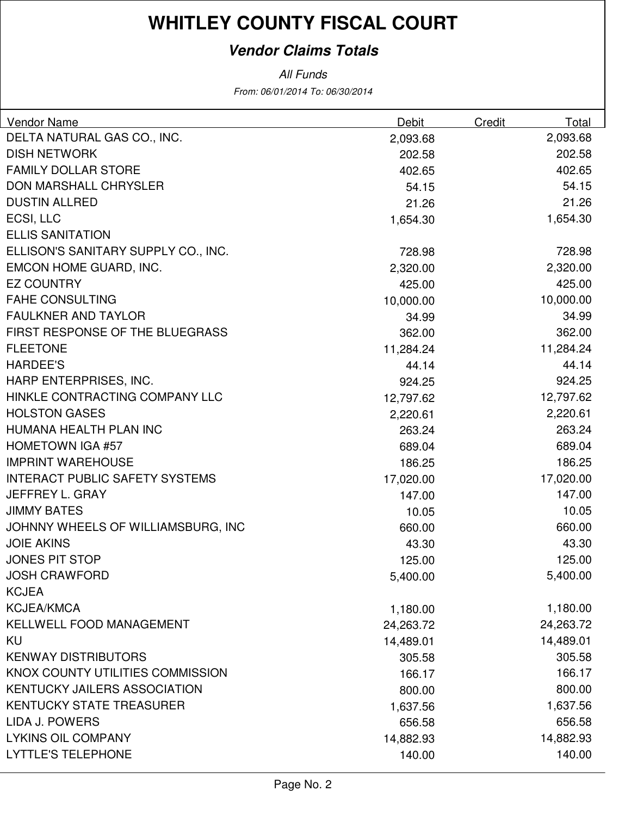### **Vendor Claims Totals**

From: 06/01/2014 To: 06/30/2014 All Funds

| <b>Vendor Name</b>                     | Debit     | Credit | Total     |
|----------------------------------------|-----------|--------|-----------|
| DELTA NATURAL GAS CO., INC.            | 2,093.68  |        | 2,093.68  |
| <b>DISH NETWORK</b>                    | 202.58    |        | 202.58    |
| <b>FAMILY DOLLAR STORE</b>             | 402.65    |        | 402.65    |
| <b>DON MARSHALL CHRYSLER</b>           | 54.15     |        | 54.15     |
| <b>DUSTIN ALLRED</b>                   | 21.26     |        | 21.26     |
| ECSI, LLC                              | 1,654.30  |        | 1,654.30  |
| <b>ELLIS SANITATION</b>                |           |        |           |
| ELLISON'S SANITARY SUPPLY CO., INC.    | 728.98    |        | 728.98    |
| EMCON HOME GUARD, INC.                 | 2,320.00  |        | 2,320.00  |
| <b>EZ COUNTRY</b>                      | 425.00    |        | 425.00    |
| <b>FAHE CONSULTING</b>                 | 10,000.00 |        | 10,000.00 |
| <b>FAULKNER AND TAYLOR</b>             | 34.99     |        | 34.99     |
| <b>FIRST RESPONSE OF THE BLUEGRASS</b> | 362.00    |        | 362.00    |
| <b>FLEETONE</b>                        | 11,284.24 |        | 11,284.24 |
| <b>HARDEE'S</b>                        | 44.14     |        | 44.14     |
| HARP ENTERPRISES, INC.                 | 924.25    |        | 924.25    |
| HINKLE CONTRACTING COMPANY LLC         | 12,797.62 |        | 12,797.62 |
| <b>HOLSTON GASES</b>                   | 2,220.61  |        | 2,220.61  |
| HUMANA HEALTH PLAN INC                 | 263.24    |        | 263.24    |
| <b>HOMETOWN IGA #57</b>                | 689.04    |        | 689.04    |
| <b>IMPRINT WAREHOUSE</b>               | 186.25    |        | 186.25    |
| <b>INTERACT PUBLIC SAFETY SYSTEMS</b>  | 17,020.00 |        | 17,020.00 |
| <b>JEFFREY L. GRAY</b>                 | 147.00    |        | 147.00    |
| <b>JIMMY BATES</b>                     | 10.05     |        | 10.05     |
| JOHNNY WHEELS OF WILLIAMSBURG, INC     | 660.00    |        | 660.00    |
| <b>JOIE AKINS</b>                      | 43.30     |        | 43.30     |
| <b>JONES PIT STOP</b>                  | 125.00    |        | 125.00    |
| <b>JOSH CRAWFORD</b>                   | 5,400.00  |        | 5,400.00  |
| <b>KCJEA</b>                           |           |        |           |
| <b>KCJEA/KMCA</b>                      | 1,180.00  |        | 1,180.00  |
| <b>KELLWELL FOOD MANAGEMENT</b>        | 24,263.72 |        | 24,263.72 |
| <b>KU</b>                              | 14,489.01 |        | 14,489.01 |
| <b>KENWAY DISTRIBUTORS</b>             | 305.58    |        | 305.58    |
| KNOX COUNTY UTILITIES COMMISSION       | 166.17    |        | 166.17    |
| <b>KENTUCKY JAILERS ASSOCIATION</b>    | 800.00    |        | 800.00    |
| <b>KENTUCKY STATE TREASURER</b>        | 1,637.56  |        | 1,637.56  |
| LIDA J. POWERS                         | 656.58    |        | 656.58    |
| <b>LYKINS OIL COMPANY</b>              | 14,882.93 |        | 14,882.93 |
| <b>LYTTLE'S TELEPHONE</b>              | 140.00    |        | 140.00    |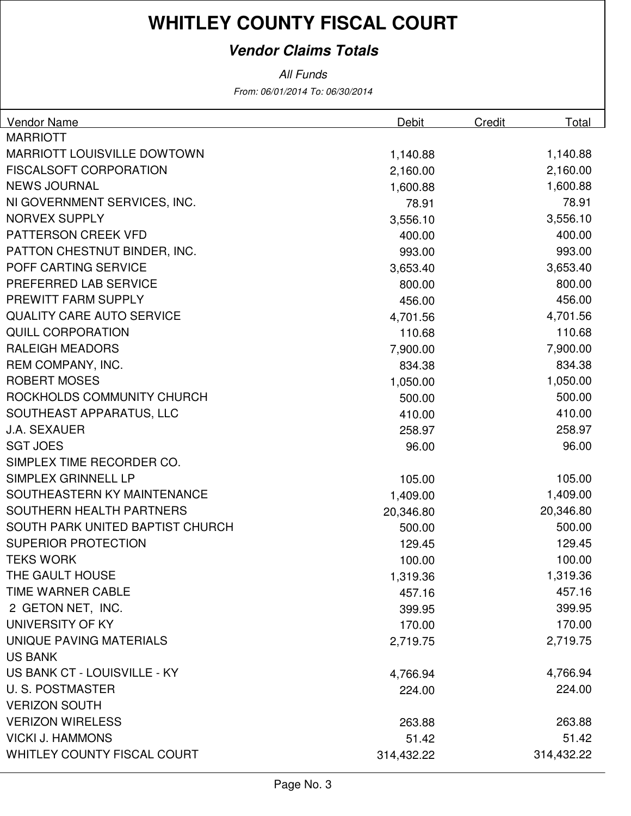### **Vendor Claims Totals**

All Funds

From: 06/01/2014 To: 06/30/2014

| <b>Vendor Name</b>                 | Debit      | Credit<br>Total |
|------------------------------------|------------|-----------------|
| <b>MARRIOTT</b>                    |            |                 |
| <b>MARRIOTT LOUISVILLE DOWTOWN</b> | 1,140.88   | 1,140.88        |
| <b>FISCALSOFT CORPORATION</b>      | 2,160.00   | 2,160.00        |
| <b>NEWS JOURNAL</b>                | 1,600.88   | 1,600.88        |
| NI GOVERNMENT SERVICES, INC.       | 78.91      | 78.91           |
| <b>NORVEX SUPPLY</b>               | 3,556.10   | 3,556.10        |
| PATTERSON CREEK VFD                | 400.00     | 400.00          |
| PATTON CHESTNUT BINDER, INC.       | 993.00     | 993.00          |
| POFF CARTING SERVICE               | 3,653.40   | 3,653.40        |
| PREFERRED LAB SERVICE              | 800.00     | 800.00          |
| PREWITT FARM SUPPLY                | 456.00     | 456.00          |
| <b>QUALITY CARE AUTO SERVICE</b>   | 4,701.56   | 4,701.56        |
| <b>QUILL CORPORATION</b>           | 110.68     | 110.68          |
| <b>RALEIGH MEADORS</b>             | 7,900.00   | 7,900.00        |
| REM COMPANY, INC.                  | 834.38     | 834.38          |
| <b>ROBERT MOSES</b>                | 1,050.00   | 1,050.00        |
| ROCKHOLDS COMMUNITY CHURCH         | 500.00     | 500.00          |
| SOUTHEAST APPARATUS, LLC           | 410.00     | 410.00          |
| <b>J.A. SEXAUER</b>                | 258.97     | 258.97          |
| <b>SGT JOES</b>                    | 96.00      | 96.00           |
| SIMPLEX TIME RECORDER CO.          |            |                 |
| SIMPLEX GRINNELL LP                | 105.00     | 105.00          |
| SOUTHEASTERN KY MAINTENANCE        | 1,409.00   | 1,409.00        |
| SOUTHERN HEALTH PARTNERS           | 20,346.80  | 20,346.80       |
| SOUTH PARK UNITED BAPTIST CHURCH   | 500.00     | 500.00          |
| <b>SUPERIOR PROTECTION</b>         | 129.45     | 129.45          |
| <b>TEKS WORK</b>                   | 100.00     | 100.00          |
| THE GAULT HOUSE                    | 1,319.36   | 1,319.36        |
| <b>TIME WARNER CABLE</b>           | 457.16     | 457.16          |
| 2 GETON NET, INC.                  | 399.95     | 399.95          |
| UNIVERSITY OF KY                   | 170.00     | 170.00          |
| UNIQUE PAVING MATERIALS            | 2,719.75   | 2,719.75        |
| <b>US BANK</b>                     |            |                 |
| US BANK CT - LOUISVILLE - KY       | 4,766.94   | 4,766.94        |
| <b>U.S. POSTMASTER</b>             | 224.00     | 224.00          |
| <b>VERIZON SOUTH</b>               |            |                 |
| <b>VERIZON WIRELESS</b>            | 263.88     | 263.88          |
| <b>VICKI J. HAMMONS</b>            | 51.42      | 51.42           |
| WHITLEY COUNTY FISCAL COURT        | 314,432.22 | 314,432.22      |